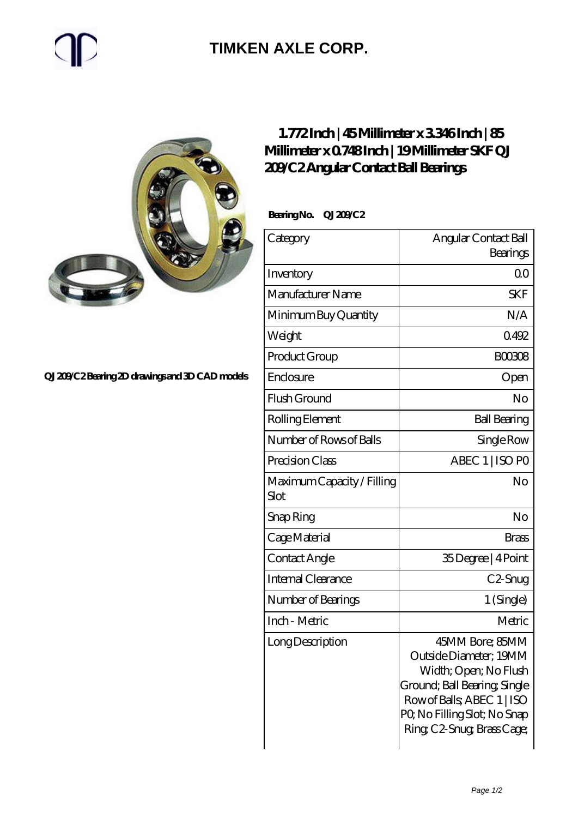## **[TIMKEN AXLE CORP.](https://rapidsurfing.net)**



#### **[QJ 209/C2 Bearing 2D drawings and 3D CAD models](https://rapidsurfing.net/pic-218985.html)**

### **[1.772 Inch | 45 Millimeter x 3.346 Inch | 85](https://rapidsurfing.net/aI-218985-skf-qj-209-c2-angular-contact-ball-bearings.html) [Millimeter x 0.748 Inch | 19 Millimeter SKF QJ](https://rapidsurfing.net/aI-218985-skf-qj-209-c2-angular-contact-ball-bearings.html) [209/C2 Angular Contact Ball Bearings](https://rapidsurfing.net/aI-218985-skf-qj-209-c2-angular-contact-ball-bearings.html)**

 **Bearing No. QJ 209/C2**

| Category                           | Angular Contact Ball<br>Bearings                                                                                                                                                            |
|------------------------------------|---------------------------------------------------------------------------------------------------------------------------------------------------------------------------------------------|
| Inventory                          | 0 <sup>0</sup>                                                                                                                                                                              |
| Manufacturer Name                  | <b>SKF</b>                                                                                                                                                                                  |
| Minimum Buy Quantity               | N/A                                                                                                                                                                                         |
| Weight                             | 0492                                                                                                                                                                                        |
| Product Group                      | <b>BOO308</b>                                                                                                                                                                               |
| Enclosure                          | Open                                                                                                                                                                                        |
| Flush Ground                       | No                                                                                                                                                                                          |
| Rolling Element                    | <b>Ball Bearing</b>                                                                                                                                                                         |
| Number of Rows of Balls            | Single Row                                                                                                                                                                                  |
| Precision Class                    | ABEC 1   ISO PO                                                                                                                                                                             |
| Maximum Capacity / Filling<br>Slot | No                                                                                                                                                                                          |
| Snap Ring                          | No                                                                                                                                                                                          |
| Cage Material                      | <b>Brass</b>                                                                                                                                                                                |
| Contact Angle                      | 35Degree   4Point                                                                                                                                                                           |
| <b>Internal Clearance</b>          | C2-Snug                                                                                                                                                                                     |
| Number of Bearings                 | 1 (Single)                                                                                                                                                                                  |
| Inch - Metric                      | Metric                                                                                                                                                                                      |
| Long Description                   | 45MM Bore; 85MM<br>Outside Diameter; 19MM<br>Width; Open; No Flush<br>Ground; Ball Bearing; Single<br>Row of Balls, ABEC 1   ISO<br>PQ No Filling Slot; No Snap<br>Ring C2-Snug Brass Cage; |